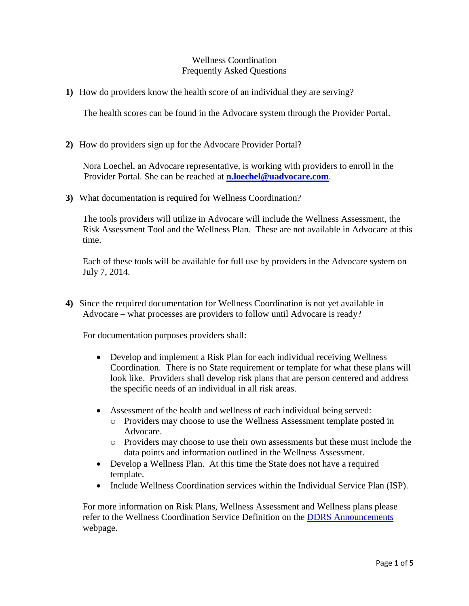## Wellness Coordination Frequently Asked Questions

**1)** How do providers know the health score of an individual they are serving?

The health scores can be found in the Advocare system through the Provider Portal.

**2)** How do providers sign up for the Advocare Provider Portal?

Nora Loechel, an Advocare representative, is working with providers to enroll in the Provider Portal. She can be reached at **[n.loechel@uadvocare.com](mailto:n.loechel@uadvocare.com)**.

**3)** What documentation is required for Wellness Coordination?

The tools providers will utilize in Advocare will include the Wellness Assessment, the Risk Assessment Tool and the Wellness Plan. These are not available in Advocare at this time.

Each of these tools will be available for full use by providers in the Advocare system on July 7, 2014.

**4)** Since the required documentation for Wellness Coordination is not yet available in Advocare – what processes are providers to follow until Advocare is ready?

For documentation purposes providers shall:

- Develop and implement a Risk Plan for each individual receiving Wellness Coordination. There is no State requirement or template for what these plans will look like. Providers shall develop risk plans that are person centered and address the specific needs of an individual in all risk areas.
- Assessment of the health and wellness of each individual being served:
	- o Providers may choose to use the Wellness Assessment template posted in Advocare.
	- o Providers may choose to use their own assessments but these must include the data points and information outlined in the Wellness Assessment.
- Develop a Wellness Plan. At this time the State does not have a required template.
- Include Wellness Coordination services within the Individual Service Plan (ISP).

For more information on Risk Plans, Wellness Assessment and Wellness plans please refer to the Wellness Coordination Service Definition on the [DDRS Announcements](http://www.in.gov/fssa/ddrs/4329.htm) webpage.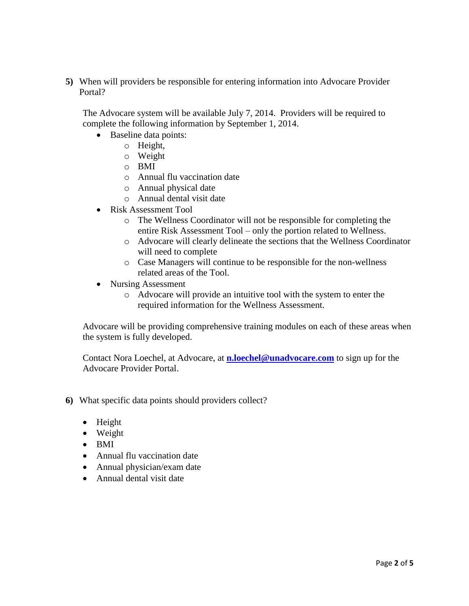**5)** When will providers be responsible for entering information into Advocare Provider Portal?

The Advocare system will be available July 7, 2014. Providers will be required to complete the following information by September 1, 2014.

- Baseline data points:
	- o Height,
		- o Weight
		- o BMI
		- o Annual flu vaccination date
		- o Annual physical date
		- o Annual dental visit date
- Risk Assessment Tool
	- o The Wellness Coordinator will not be responsible for completing the entire Risk Assessment Tool – only the portion related to Wellness.
	- o Advocare will clearly delineate the sections that the Wellness Coordinator will need to complete
	- o Case Managers will continue to be responsible for the non-wellness related areas of the Tool.
- Nursing Assessment
	- o Advocare will provide an intuitive tool with the system to enter the required information for the Wellness Assessment.

Advocare will be providing comprehensive training modules on each of these areas when the system is fully developed.

Contact Nora Loechel, at Advocare, at **[n.loechel@unadvocare.com](mailto:n.loechel@unadvocare.com)** to sign up for the Advocare Provider Portal.

- **6)** What specific data points should providers collect?
	- $\bullet$  Height
	- Weight
	- $\bullet$  BMI
	- Annual flu vaccination date
	- Annual physician/exam date
	- Annual dental visit date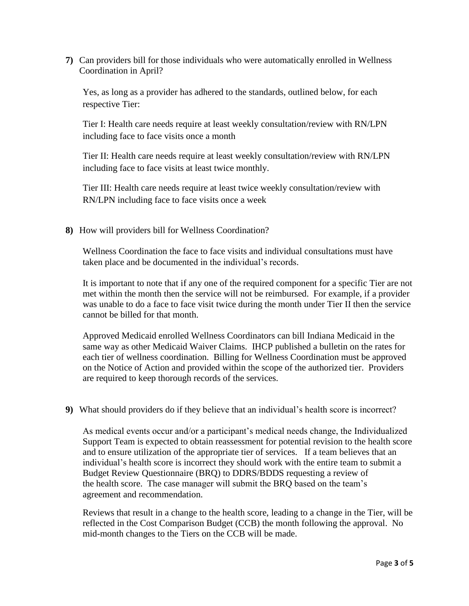**7)** Can providers bill for those individuals who were automatically enrolled in Wellness Coordination in April?

Yes, as long as a provider has adhered to the standards, outlined below, for each respective Tier:

Tier I: Health care needs require at least weekly consultation/review with RN/LPN including face to face visits once a month

Tier II: Health care needs require at least weekly consultation/review with RN/LPN including face to face visits at least twice monthly.

Tier III: Health care needs require at least twice weekly consultation/review with RN/LPN including face to face visits once a week

**8)** How will providers bill for Wellness Coordination?

Wellness Coordination the face to face visits and individual consultations must have taken place and be documented in the individual's records.

It is important to note that if any one of the required component for a specific Tier are not met within the month then the service will not be reimbursed. For example, if a provider was unable to do a face to face visit twice during the month under Tier II then the service cannot be billed for that month.

Approved Medicaid enrolled Wellness Coordinators can bill Indiana Medicaid in the same way as other Medicaid Waiver Claims. IHCP published a bulletin on the rates for each tier of wellness coordination. Billing for Wellness Coordination must be approved on the Notice of Action and provided within the scope of the authorized tier. Providers are required to keep thorough records of the services.

**9)** What should providers do if they believe that an individual's health score is incorrect?

As medical events occur and/or a participant's medical needs change, the Individualized Support Team is expected to obtain reassessment for potential revision to the health score and to ensure utilization of the appropriate tier of services. If a team believes that an individual's health score is incorrect they should work with the entire team to submit a Budget Review Questionnaire (BRQ) to DDRS/BDDS requesting a review of the health score. The case manager will submit the BRQ based on the team's agreement and recommendation.

Reviews that result in a change to the health score, leading to a change in the Tier, will be reflected in the Cost Comparison Budget (CCB) the month following the approval. No mid-month changes to the Tiers on the CCB will be made.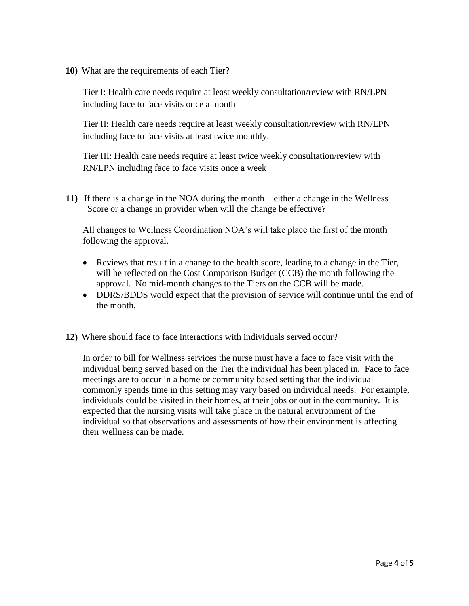**10)** What are the requirements of each Tier?

Tier I: Health care needs require at least weekly consultation/review with RN/LPN including face to face visits once a month

Tier II: Health care needs require at least weekly consultation/review with RN/LPN including face to face visits at least twice monthly.

Tier III: Health care needs require at least twice weekly consultation/review with RN/LPN including face to face visits once a week

**11)** If there is a change in the NOA during the month – either a change in the Wellness Score or a change in provider when will the change be effective?

All changes to Wellness Coordination NOA's will take place the first of the month following the approval.

- Reviews that result in a change to the health score, leading to a change in the Tier, will be reflected on the Cost Comparison Budget (CCB) the month following the approval. No mid-month changes to the Tiers on the CCB will be made.
- DDRS/BDDS would expect that the provision of service will continue until the end of the month.
- **12)** Where should face to face interactions with individuals served occur?

In order to bill for Wellness services the nurse must have a face to face visit with the individual being served based on the Tier the individual has been placed in. Face to face meetings are to occur in a home or community based setting that the individual commonly spends time in this setting may vary based on individual needs. For example, individuals could be visited in their homes, at their jobs or out in the community. It is expected that the nursing visits will take place in the natural environment of the individual so that observations and assessments of how their environment is affecting their wellness can be made.